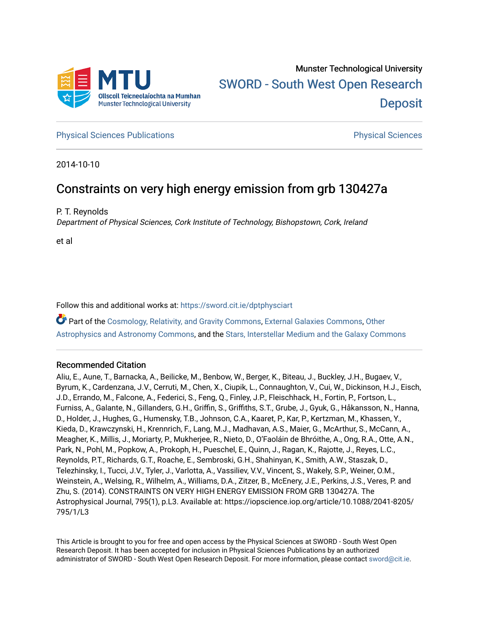

**[Physical Sciences Publications](https://sword.cit.ie/dptphysciart) Provide Access Publications Physical Sciences** Physical Sciences

2014-10-10

# Constraints on very high energy emission from grb 130427a

P. T. Reynolds

Department of Physical Sciences, Cork Institute of Technology, Bishopstown, Cork, Ireland

et al

Follow this and additional works at: [https://sword.cit.ie/dptphysciart](https://sword.cit.ie/dptphysciart?utm_source=sword.cit.ie%2Fdptphysciart%2F109&utm_medium=PDF&utm_campaign=PDFCoverPages)

Part of the [Cosmology, Relativity, and Gravity Commons,](http://network.bepress.com/hgg/discipline/129?utm_source=sword.cit.ie%2Fdptphysciart%2F109&utm_medium=PDF&utm_campaign=PDFCoverPages) [External Galaxies Commons](http://network.bepress.com/hgg/discipline/128?utm_source=sword.cit.ie%2Fdptphysciart%2F109&utm_medium=PDF&utm_campaign=PDFCoverPages), [Other](http://network.bepress.com/hgg/discipline/130?utm_source=sword.cit.ie%2Fdptphysciart%2F109&utm_medium=PDF&utm_campaign=PDFCoverPages) [Astrophysics and Astronomy Commons,](http://network.bepress.com/hgg/discipline/130?utm_source=sword.cit.ie%2Fdptphysciart%2F109&utm_medium=PDF&utm_campaign=PDFCoverPages) and the [Stars, Interstellar Medium and the Galaxy Commons](http://network.bepress.com/hgg/discipline/127?utm_source=sword.cit.ie%2Fdptphysciart%2F109&utm_medium=PDF&utm_campaign=PDFCoverPages)

# Recommended Citation

Aliu, E., Aune, T., Barnacka, A., Beilicke, M., Benbow, W., Berger, K., Biteau, J., Buckley, J.H., Bugaev, V., Byrum, K., Cardenzana, J.V., Cerruti, M., Chen, X., Ciupik, L., Connaughton, V., Cui, W., Dickinson, H.J., Eisch, J.D., Errando, M., Falcone, A., Federici, S., Feng, Q., Finley, J.P., Fleischhack, H., Fortin, P., Fortson, L., Furniss, A., Galante, N., Gillanders, G.H., Griffin, S., Griffiths, S.T., Grube, J., Gyuk, G., Håkansson, N., Hanna, D., Holder, J., Hughes, G., Humensky, T.B., Johnson, C.A., Kaaret, P., Kar, P., Kertzman, M., Khassen, Y., Kieda, D., Krawczynski, H., Krennrich, F., Lang, M.J., Madhavan, A.S., Maier, G., McArthur, S., McCann, A., Meagher, K., Millis, J., Moriarty, P., Mukherjee, R., Nieto, D., O'Faoláin de Bhróithe, A., Ong, R.A., Otte, A.N., Park, N., Pohl, M., Popkow, A., Prokoph, H., Pueschel, E., Quinn, J., Ragan, K., Rajotte, J., Reyes, L.C., Reynolds, P.T., Richards, G.T., Roache, E., Sembroski, G.H., Shahinyan, K., Smith, A.W., Staszak, D., Telezhinsky, I., Tucci, J.V., Tyler, J., Varlotta, A., Vassiliev, V.V., Vincent, S., Wakely, S.P., Weiner, O.M., Weinstein, A., Welsing, R., Wilhelm, A., Williams, D.A., Zitzer, B., McEnery, J.E., Perkins, J.S., Veres, P. and Zhu, S. (2014). CONSTRAINTS ON VERY HIGH ENERGY EMISSION FROM GRB 130427A. The Astrophysical Journal, 795(1), p.L3. Available at: https://iopscience.iop.org/article/10.1088/2041-8205/ 795/1/L3

This Article is brought to you for free and open access by the Physical Sciences at SWORD - South West Open Research Deposit. It has been accepted for inclusion in Physical Sciences Publications by an authorized administrator of SWORD - South West Open Research Deposit. For more information, please contact [sword@cit.ie.](mailto:sword@cit.ie)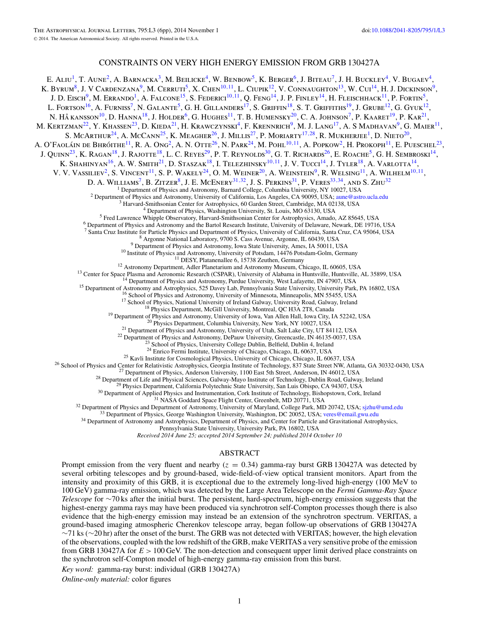## CONSTRAINTS ON VERY HIGH ENERGY EMISSION FROM GRB 130427A

E. ALIU<sup>1</sup>, T. AUNE<sup>2</sup>, A. BARNACKA<sup>3</sup>, M. BEILICKE<sup>4</sup>, W. BENBOW<sup>5</sup>, K. BERGER<sup>6</sup>, J. BITEAU<sup>7</sup>, J. H. BUCKLEY<sup>4</sup>, V. BUGAEV<sup>4</sup>, K. Byrum<sup>8</sup>, J. V Cardenzana<sup>9</sup>, M. Cerruti<sup>5</sup>, X. Chen<sup>10,11</sup>, L. Ciupik<sup>12</sup>, V. Connaughton<sup>13</sup>, W. Cui<sup>14</sup>, H. J. Dickinson<sup>9</sup>, J. D. Eisch<sup>9</sup>, M. Errando<sup>1</sup>, A. Falcone<sup>15</sup>, S. Federici<sup>10,11</sup>, Q. Feng<sup>14</sup>, J. P. Finley<sup>14</sup>, H. Fleischhack<sup>11</sup>, P. Fortin<sup>5</sup>, L. FORTSON<sup>16</sup>, A. FURNISS<sup>7</sup>, N. GALANTE<sup>5</sup>, G. H. GILLANDERS<sup>17</sup>, S. GRIFFIN<sup>18</sup>, S. T. GRIFFITHS<sup>19</sup>, J. GRUBE<sup>12</sup>, G. GYUK<sup>12</sup>, N. HÅ KANSSON<sup>10</sup>, D. HANNA<sup>18</sup>, J. HOLDER<sup>6</sup>, G. HUGHES<sup>11</sup>, T. B. HUMENSKY<sup>20</sup>, C. A. JOHNSON<sup>7</sup>, P. KAARET<sup>19</sup>, P. KAR<sup>21</sup>, M. KERTZMAN<sup>22</sup>, Y. KHASSEN<sup>23</sup>, D. KIEDA<sup>21</sup>, H. KRAWCZYNSKI<sup>4</sup>, F. KRENNRICH<sup>9</sup>, M. J. LANG<sup>17</sup>, A. S MADHAVAN<sup>9</sup>, G. MAIER<sup>11</sup>, S. McArthur<sup>24</sup>, A. McCann<sup>25</sup>, K. Meagher<sup>26</sup>, J. Millis<sup>27</sup>, P. Moriarty<sup>17,28</sup>, R. Mukherjee<sup>1</sup>, D. Nieto<sup>20</sup>, A. O'FAOLÁIN DE BHRÓITHE<sup>11</sup>, R. A. Ong<sup>2</sup>, A. N. OTTE<sup>26</sup>, N. PARK<sup>24</sup>, M. POHL<sup>10,11</sup>, A. POPKOW<sup>2</sup>, H. PROKOPH<sup>11</sup>, E. PUESCHEL<sup>23</sup>, J. QUINN<sup>23</sup>, K. RAGAN<sup>18</sup>, J. RAJOTTE<sup>18</sup>, L. C. REYES<sup>29</sup>, P. T. REYNOLDS<sup>30</sup>, G. T. RICHARDS<sup>26</sup>, E. ROACHE<sup>5</sup>, G. H. SEMBROSKI<sup>14</sup>, K. Shahinyan<sup>16</sup>, A. W. Smith<sup>21</sup>, D. Staszak<sup>18</sup>, I. Telezhinsky<sup>10,11</sup>, J. V. Tucci<sup>14</sup>, J. Tyler<sup>18</sup>, A. Varlotta<sup>14</sup>, V. V. Vassiliev<sup>2</sup>, S. Vincent<sup>11</sup>, S. P. Wakely<sup>24</sup>, O. M. Weiner<sup>20</sup>, A. Weinstein<sup>9</sup>, R. Welsing<sup>11</sup>, A. Wilhelm<sup>10,11</sup>, D. A. WILLIAMS<sup>7</sup>, B. ZITZER<sup>8</sup>, J. E. MCENERY<sup>31,32</sup>, J. S. PERKINS<sup>31</sup>, P. VERES<sup>33,34</sup>, AND S. ZHU<sup>32</sup><sup>1</sup> Department of Physics and Astronomy, Barnard College, Columbia University, NY 10027, USA <sup>2</sup> Department of Physics and Astronomy, University of California, Los Angeles, CA 90095, USA; [aune@astro.ucla.edu](mailto:aune@astro.ucla.edu)<br>
<sup>3</sup> Harvard-Smithsonian Center for Astrophysics, 60 Garden Street, Cambridge, MA 02138, USA<br>
<sup>4</sup> Departme <sup>8</sup> Argonne National Laboratory, 9700 S. Cass Avenue, Argonne, IL 60439, USA<br><sup>9</sup> Department of Physics and Astronomy, University of Potsdam, 14476 Potsdam -Goln 1, USA<br><sup>10</sup> Institute of Physics and Astronomy, University o <sup>25</sup> Kavli Institute for Cosmological Physics, University of Chicago, Chicago, IL 60637, USA<br><sup>26</sup> School of Physics and Center for Relativistic Astrophysics, Georgia Institute of Technology, 837 State Street NW, Atlanta, Pennsylvania State University, University Park, PA 16802, USA

*Received 2014 June 25; accepted 2014 September 24; published 2014 October 10*

#### ABSTRACT

Prompt emission from the very fluent and nearby  $(z = 0.34)$  gamma-ray burst GRB 130427A was detected by several orbiting telescopes and by ground-based, wide-field-of-view optical transient monitors. Apart from the intensity and proximity of this GRB, it is exceptional due to the extremely long-lived high-energy (100 MeV to 100 GeV) gamma-ray emission, which was detected by the Large Area Telescope on the *Fermi Gamma-Ray Space Telescope* for ∼70 ks after the initial burst. The persistent, hard-spectrum, high-energy emission suggests that the highest-energy gamma rays may have been produced via synchrotron self-Compton processes though there is also evidence that the high-energy emission may instead be an extension of the synchrotron spectrum. VERITAS, a ground-based imaging atmospheric Cherenkov telescope array, began follow-up observations of GRB 130427A ∼71 ks (∼20 hr) after the onset of the burst. The GRB was not detected with VERITAS; however, the high elevation of the observations, coupled with the low redshift of the GRB, make VERITAS a very sensitive probe of the emission from GRB 130427A for *E >* 100 GeV. The non-detection and consequent upper limit derived place constraints on the synchrotron self-Compton model of high-energy gamma-ray emission from this burst.

*Key word:* gamma-ray burst: individual (GRB 130427A)

*Online-only material:* color figures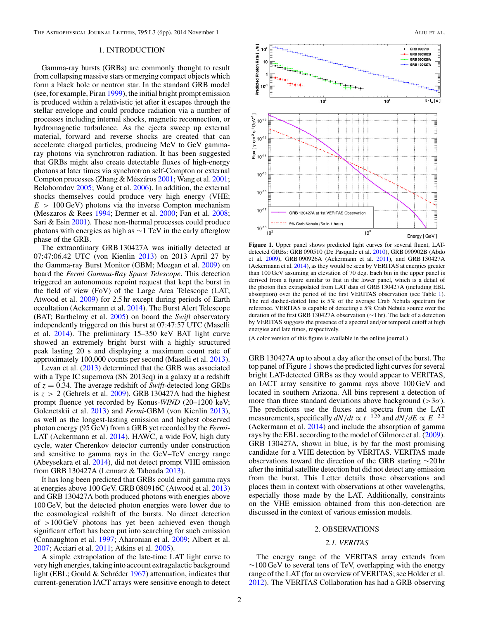The Astrophysical Journal Letters, 795:L3 (6pp), 2014 November 1 Aliu et al., Aliu et al., Aliu et al.

#### 1. INTRODUCTION

Gamma-ray bursts (GRBs) are commonly thought to result from collapsing massive stars or merging compact objects which form a black hole or neutron star. In the standard GRB model (see, for example, Piran [1999\)](#page-6-0), the initial bright prompt emission is produced within a relativistic jet after it escapes through the stellar envelope and could produce radiation via a number of processes including internal shocks, magnetic reconnection, or hydromagnetic turbulence. As the ejecta sweep up external material, forward and reverse shocks are created that can accelerate charged particles, producing MeV to GeV gammaray photons via synchrotron radiation. It has been suggested that GRBs might also create detectable fluxes of high-energy photons at later times via synchrotron self-Compton or external Compton processes (Zhang & Mészáros [2001;](#page-6-0) Wang et al. 2001; Beloborodov [2005;](#page-6-0) Wang et al. [2006\)](#page-6-0). In addition, the external shocks themselves could produce very high energy (VHE; *E >* 100 GeV) photons via the inverse Compton mechanism (Meszaros & Rees [1994;](#page-6-0) Dermer et al. [2000;](#page-6-0) Fan et al. [2008;](#page-6-0) Sari & Esin [2001\)](#page-6-0). These non-thermal processes could produce photons with energies as high as  $\sim$ 1 TeV in the early afterglow phase of the GRB.

The extraordinary GRB 130427A was initially detected at 07:47:06.42 UTC (von Kienlin [2013\)](#page-6-0) on 2013 April 27 by the Gamma-ray Burst Monitor (GBM; Meegan et al. [2009\)](#page-6-0) on board the *Fermi Gamma-Ray Space Telescope*. This detection triggered an autonomous repoint request that kept the burst in the field of view (FoV) of the Large Area Telescope (LAT; Atwood et al. [2009\)](#page-6-0) for 2.5 hr except during periods of Earth occultation (Ackermann et al. [2014\)](#page-6-0). The Burst Alert Telescope (BAT; Barthelmy et al. [2005\)](#page-6-0) on board the *Swift* observatory independently triggered on this burst at 07:47:57 UTC (Maselli et al. [2014\)](#page-6-0). The preliminary 15–350 keV BAT light curve showed an extremely bright burst with a highly structured peak lasting 20 s and displaying a maximum count rate of approximately 100,000 counts per second (Maselli et al. [2013\)](#page-6-0).

Levan et al. [\(2013\)](#page-6-0) determined that the GRB was associated with a Type IC supernova (SN 2013cq) in a galaxy at a redshift of *z* = 0.34. The average redshift of *Swift*-detected long GRBs is *z >* 2 (Gehrels et al. [2009\)](#page-6-0). GRB 130427A had the highest prompt fluence yet recorded by Konus-*WIND* (20–1200 keV; Golenetskii et al. [2013\)](#page-6-0) and *Fermi*-GBM (von Kienlin [2013\)](#page-6-0), as well as the longest-lasting emission and highest observed photon energy (95 GeV) from a GRB yet recorded by the *Fermi*-LAT (Ackermann et al. [2014\)](#page-6-0). HAWC, a wide FoV, high duty cycle, water Cherenkov detector currently under construction and sensitive to gamma rays in the GeV–TeV energy range (Abeysekara et al. [2014\)](#page-6-0), did not detect prompt VHE emission from GRB 130427A (Lennarz & Taboada [2013\)](#page-6-0).

It has long been predicted that GRBs could emit gamma rays at energies above 100 GeV. GRB 080916C (Atwood et al. [2013\)](#page-6-0) and GRB 130427A both produced photons with energies above 100 GeV, but the detected photon energies were lower due to the cosmological redshift of the bursts. No direct detection of *>*100 GeV photons has yet been achieved even though significant effort has been put into searching for such emission (Connaughton et al. [1997;](#page-6-0) Aharonian et al. [2009;](#page-6-0) Albert et al. [2007;](#page-6-0) Acciari et al. [2011;](#page-6-0) Atkins et al. [2005\)](#page-6-0).

A simple extrapolation of the late-time LAT light curve to very high energies, taking into account extragalactic background light (EBL; Gould  $&$  Schréder [1967\)](#page-6-0) attenuation, indicates that current-generation IACT arrays were sensitive enough to detect



**Figure 1.** Upper panel shows predicted light curves for several fluent, LATdetected GRBs: GRB 090510 (De Pasquale et al. [2010\)](#page-6-0), GRB 090902B (Abdo et al. [2009\)](#page-6-0), GRB 090926A (Ackermann et al. [2011\)](#page-6-0), and GRB 130427A (Ackermann et al. [2014\)](#page-6-0), as they would be seen by VERITAS at energies greater than 100 GeV assuming an elevation of 70 deg. Each bin in the upper panel is derived from a figure similar to that in the lower panel, which is a detail of the photon flux extrapolated from LAT data of GRB 130427A (including EBL absorption) over the period of the first VERITAS observation (see Table [1\)](#page-3-0). The red dashed-dotted line is 5% of the average Crab Nebula spectrum for reference. VERITAS is capable of detecting a 5% Crab Nebula source over the duration of the first GRB 130427A observation (∼1 hr). The lack of a detection by VERITAS suggests the presence of a spectral and*/*or temporal cutoff at high energies and late times, respectively.

(A color version of this figure is available in the online journal.)

GRB 130427A up to about a day after the onset of the burst. The top panel of Figure 1 shows the predicted light curves for several bright LAT-detected GRBs as they would appear to VERITAS, an IACT array sensitive to gamma rays above 100 GeV and located in southern Arizona. All bins represent a detection of more than three standard deviations above background ( $>3\sigma$ ). The predictions use the fluxes and spectra from the LAT measurements, specifically  $dN/dt \propto t^{-1.35}$  and  $dN/dE \propto E^{-2.2}$ (Ackermann et al. [2014\)](#page-6-0) and include the absorption of gamma rays by the EBL according to the model of Gilmore et al. [\(2009\)](#page-6-0). GRB 130427A, shown in blue, is by far the most promising candidate for a VHE detection by VERITAS. VERITAS made observations toward the direction of the GRB starting ∼20 hr after the initial satellite detection but did not detect any emission from the burst. This Letter details those observations and places them in context with observations at other wavelengths, especially those made by the LAT. Additionally, constraints on the VHE emission obtained from this non-detection are discussed in the context of various emission models.

#### 2. OBSERVATIONS

#### *2.1. VERITAS*

The energy range of the VERITAS array extends from  $\sim$ 100 GeV to several tens of TeV, overlapping with the energy range of the LAT (for an overview of VERITAS; see Holder et al. [2012\)](#page-6-0). The VERITAS Collaboration has had a GRB observing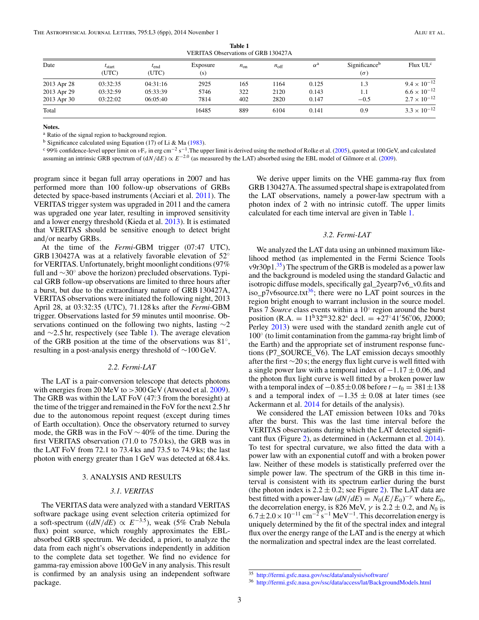<span id="page-3-0"></span>

| VERITAS ODSEIVADOIIS OI ORD 190427A |                             |                    |                 |          |                  |                  |                                         |                       |
|-------------------------------------|-----------------------------|--------------------|-----------------|----------|------------------|------------------|-----------------------------------------|-----------------------|
| Date                                | $t_{\text{start}}$<br>(UTC) | $I_{end}$<br>(UTC) | Exposure<br>(s) | $n_{on}$ | $n_{\text{off}}$ | $\alpha^{\rm a}$ | Significance <sup>b</sup><br>$(\sigma)$ | Flux UL <sup>c</sup>  |
| 2013 Apr 28                         | 03:32:35                    | 04:31:16           | 2925            | 165      | 1164             | 0.125            |                                         | $9.4 \times 10^{-12}$ |
| 2013 Apr 29                         | 03:32:59                    | 05:33:39           | 5746            | 322      | 2120             | 0.143            |                                         | $6.6 \times 10^{-12}$ |
| 2013 Apr 30                         | 03:22:02                    | 06:05:40           | 7814            | 402      | 2820             | 0.147            | $-0.5$                                  | $2.7 \times 10^{-12}$ |
| Total                               |                             |                    | 16485           | 889      | 6104             | 0.141            | 0.9                                     | $3.3 \times 10^{-12}$ |

**Table 1**<br>vations of GPB 130427 M VERITAS Observation

**Notes.**

<sup>a</sup> Ratio of the signal region to background region.

<sup>b</sup> Significance calculated using Equation (17) of Li & Ma [\(1983\)](#page-6-0).

<sup>c</sup> 99% confidence-level upper limit on *v*F<sub>*v*</sub> in erg cm<sup>-2</sup> s<sup>-1</sup>. The upper limit is derived using the method of Rolke et al. [\(2005\)](#page-6-0), quoted at 100 GeV, and calculated assuming an intrinsic GRB spectrum of  $(dN/dE) \propto E^{-2.0}$  (as measured by the LAT) absorbed using the EBL model of Gilmore et al. [\(2009\)](#page-6-0).

program since it began full array operations in 2007 and has performed more than 100 follow-up observations of GRBs detected by space-based instruments (Acciari et al. [2011\)](#page-6-0). The VERITAS trigger system was upgraded in 2011 and the camera

was upgraded one year later, resulting in improved sensitivity and a lower energy threshold (Kieda et al. [2013\)](#page-6-0). It is estimated that VERITAS should be sensitive enough to detect bright and*/*or nearby GRBs. At the time of the *Fermi*-GBM trigger (07:47 UTC),

GRB 130427A was at a relatively favorable elevation of 52◦ for VERITAS. Unfortunately, bright moonlight conditions (97% full and ∼30◦ above the horizon) precluded observations. Typical GRB follow-up observations are limited to three hours after a burst, but due to the extraordinary nature of GRB 130427A, VERITAS observations were initiated the following night, 2013 April 28, at 03:32:35 (UTC), 71.128 ks after the *Fermi*-GBM trigger. Observations lasted for 59 minutes until moonrise. Observations continued on the following two nights, lasting ∼2 and ∼2*.*5 hr, respectively (see Table 1). The average elevation of the GRB position at the time of the observations was 81◦, resulting in a post-analysis energy threshold of ∼100 GeV.

#### *2.2. Fermi-LAT*

The LAT is a pair-conversion telescope that detects photons with energies from 20 MeV to > 300 GeV (Atwood et al. [2009\)](#page-6-0). The GRB was within the LAT FoV (47°.3 from the boresight) at the time of the trigger and remained in the FoV for the next 2.5 hr due to the autonomous repoint request (except during times of Earth occultation). Once the observatory returned to survey mode, the GRB was in the FoV ∼ 40% of the time. During the first VERITAS observation (71.0 to 75.0 ks), the GRB was in the LAT FoV from 72.1 to 73.4 ks and 73.5 to 74.9 ks; the last photon with energy greater than 1 GeV was detected at 68.4 ks.

#### 3. ANALYSIS AND RESULTS

#### *3.1. VERITAS*

The VERITAS data were analyzed with a standard VERITAS software package using event selection criteria optimized for a soft-spectrum  $((dN/dE) \propto E^{-3.5})$ , weak (5% Crab Nebula flux) point source, which roughly approximates the EBLabsorbed GRB spectrum. We decided, a priori, to analyze the data from each night's observations independently in addition to the complete data set together. We find no evidence for gamma-ray emission above 100 GeV in any analysis. This result is confirmed by an analysis using an independent software package.

We derive upper limits on the VHE gamma-ray flux from GRB 130427A. The assumed spectral shape is extrapolated from the LAT observations, namely a power-law spectrum with a photon index of 2 with no intrinsic cutoff. The upper limits calculated for each time interval are given in Table 1.

#### *3.2. Fermi-LAT*

We analyzed the LAT data using an unbinned maximum likelihood method (as implemented in the Fermi Science Tools v9r30p1. $35$ ) The spectrum of the GRB is modeled as a power law and the background is modeled using the standard Galactic and isotropic diffuse models, specifically gal\_2yearp7v6\_v0.fits and iso\_p7v6source.txt $36$ ; there were no LAT point sources in the region bright enough to warrant inclusion in the source model. Pass 7 *Source* class events within a 10◦ region around the burst position  $(R.A. = 11<sup>h</sup>32<sup>m</sup>32.82<sup>s</sup>$  decl. = +27°41'56'.06, J2000; Perley  $2013$ ) were used with the standard zenith angle cut of 100◦ (to limit contamination from the gamma-ray bright limb of the Earth) and the appropriate set of instrument response functions (P7\_SOURCE\_V6). The LAT emission decays smoothly after the first ∼20 s; the energy flux light curve is well fitted with a single power law with a temporal index of −1*.*17 ± 0*.*06, and the photon flux light curve is well fitted by a broken power law with a temporal index of  $-0.85 \pm 0.08$  before  $t - t_0 = 381 \pm 138$ s and a temporal index of −1*.*35 ± 0*.*08 at later times (see Ackermann et al. [2014](#page-6-0) for details of the analysis).

We considered the LAT emission between 10 ks and 70 ks after the burst. This was the last time interval before the VERITAS observations during which the LAT detected significant flux (Figure [2\)](#page-4-0), as determined in (Ackermann et al. [2014\)](#page-6-0). To test for spectral curvature, we also fitted the data with a power law with an exponential cutoff and with a broken power law. Neither of these models is statistically preferred over the simple power law. The spectrum of the GRB in this time interval is consistent with its spectrum earlier during the burst (the photon index is  $2.2 \pm 0.2$ ; see Figure [2\)](#page-4-0). The LAT data are best fitted with a power-law  $(dN/dE) = N_0(E/E_0)^{-\gamma}$  where  $E_0$ , the decorrelation energy, is 826 MeV,  $\gamma$  is 2.2  $\pm$  0.2, and  $N_0$  is  $6.7 \pm 2.0 \times 10^{-11}$  cm<sup>-2</sup> s<sup>-1</sup> MeV<sup>-1</sup>. This decorrelation energy is uniquely determined by the fit of the spectral index and integral flux over the energy range of the LAT and is the energy at which the normalization and spectral index are the least correlated.

<sup>35</sup> <http://fermi.gsfc.nasa.gov/ssc/data/analysis/software/>

<sup>36</sup> <http://fermi.gsfc.nasa.gov/ssc/data/access/lat/BackgroundModels.html>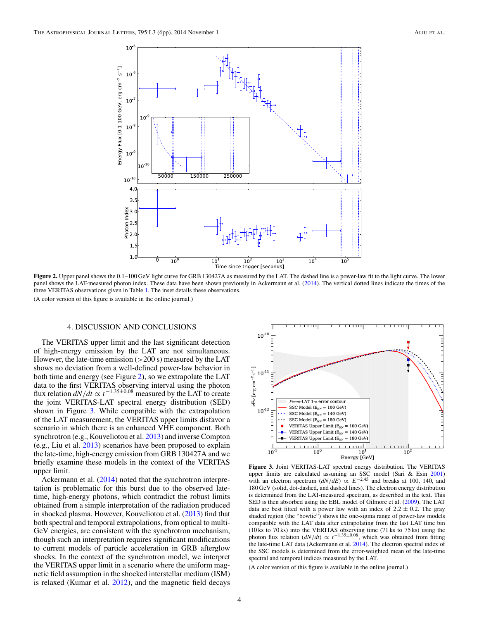<span id="page-4-0"></span>

**Figure 2.** Upper panel shows the 0.1–100 GeV light curve for GRB 130427A as measured by the LAT. The dashed line is a power-law fit to the light curve. The lower panel shows the LAT-measured photon index. These data have been shown previously in Ackermann et al. [\(2014\)](#page-6-0). The vertical dotted lines indicate the times of the three VERITAS observations given in Table [1.](#page-3-0) The inset details these observations.

(A color version of this figure is available in the online journal.)

### 4. DISCUSSION AND CONCLUSIONS

The VERITAS upper limit and the last significant detection of high-energy emission by the LAT are not simultaneous. However, the late-time emission (*>*200 s) measured by the LAT shows no deviation from a well-defined power-law behavior in both time and energy (see Figure 2), so we extrapolate the LAT data to the first VERITAS observing interval using the photon flux relation  $dN/dt \propto t^{-1.35\pm0.08}$  measured by the LAT to create the joint VERITAS-LAT spectral energy distribution (SED) shown in Figure 3. While compatible with the extrapolation of the LAT measurement, the VERITAS upper limits disfavor a scenario in which there is an enhanced VHE component. Both synchrotron (e.g., Kouveliotou et al. [2013\)](#page-6-0) and inverse Compton (e.g., Liu et al. [2013\)](#page-6-0) scenarios have been proposed to explain the late-time, high-energy emission from GRB 130427A and we briefly examine these models in the context of the VERITAS upper limit.

Ackermann et al. [\(2014\)](#page-6-0) noted that the synchrotron interpretation is problematic for this burst due to the observed latetime, high-energy photons, which contradict the robust limits obtained from a simple interpretation of the radiation produced in shocked plasma. However, Kouveliotou et al. [\(2013\)](#page-6-0) find that both spectral and temporal extrapolations, from optical to multi-GeV energies, are consistent with the synchrotron mechanism, though such an interpretation requires significant modifications to current models of particle acceleration in GRB afterglow shocks. In the context of the synchrotron model, we interpret the VERITAS upper limit in a scenario where the uniform magnetic field assumption in the shocked interstellar medium (ISM) is relaxed (Kumar et al. [2012\)](#page-6-0), and the magnetic field decays



**Figure 3.** Joint VERITAS-LAT spectral energy distribution. The VERITAS upper limits are calculated assuming an SSC model (Sari & Esin [2001\)](#page-6-0) with an electron spectrum  $(dN/dE) \propto E^{-2.45}$  and breaks at 100, 140, and 180 GeV (solid, dot-dashed, and dashed lines). The electron energy distribution is determined from the LAT-measured spectrum, as described in the text. This SED is then absorbed using the EBL model of Gilmore et al. [\(2009\)](#page-6-0). The LAT data are best fitted with a power law with an index of  $2.2 \pm 0.2$ . The gray shaded region (the "bowtie") shows the one-sigma range of power-law models compatible with the LAT data after extrapolating from the last LAT time bin (10 ks to 70 ks) into the VERITAS observing time (71 ks to 75 ks) using the photon flux relation  $(dN/dt) \propto t^{-1.35\pm0.08}$ , which was obtained from fitting the late-time LAT data (Ackermann et al. [2014\)](#page-6-0). The electron spectral index of the SSC models is determined from the error-weighted mean of the late-time spectral and temporal indices measured by the LAT.

(A color version of this figure is available in the online journal.)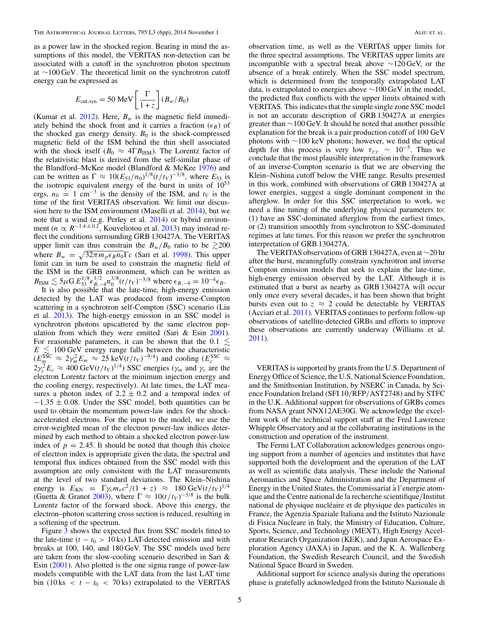as a power law in the shocked region. Bearing in mind the assumptions of this model, the VERITAS non-detection can be associated with a cutoff in the synchrotron photon spectrum at ∼100 GeV. The theoretical limit on the synchrotron cutoff energy can be expressed as

$$
E_{\text{cut,syn}} = 50 \text{ MeV} \left[ \frac{\Gamma}{1+z} \right] (B_w / B_0)
$$

(Kumar et al.  $2012$ ). Here,  $B_w$  is the magnetic field immediately behind the shock front and it carries a fraction  $(\epsilon_B)$  of the shocked gas energy density.  $B_0$  is the shock-compressed magnetic field of the ISM behind the thin shell associated with the shock itself ( $B_0 \approx 4\Gamma B_{\text{ISM}}$ ). The Lorentz factor of the relativistic blast is derived from the self-similar phase of the Blandford–McKee model (Blandford & McKee [1976\)](#page-6-0) and can be written as  $\Gamma \approx 10(E_{53}/n_0)^{1/8} (t/t_V)^{-3/8}$ , where  $E_{53}$  is the isotropic equivalent energy of the burst in units of  $10^{53}$ ergs,  $n_0 = 1$  cm<sup>-3</sup> is the density of the ISM, and  $t_V$  is the time of the first VERITAS observation. We limit our discussion here to the ISM environment (Maselli et al. [2014\)](#page-6-0), but we note that a wind (e.g. Perley et al. [2014\)](#page-6-0) or hybrid environment ( $n \propto R^{-1.4 \pm 0.2}$ , Kouveliotou et al. [2013\)](#page-6-0) may instead reflect the conditions surrounding GRB 130427A. The VERITAS upper limit can thus constrain the  $B_w/B_0$  ratio to be  $\gtrsim 200$ where  $B_w = \sqrt{32\pi m_p \epsilon_B n_0} \Gamma_c$  (Sari et al. [1998\)](#page-6-0). This upper limit can in turn be used to constrain the magnetic field of the ISM in the GRB environment, which can be written as  $B_{\text{ISM}} \lesssim 5 \mu \text{G} E_{53}^{1/8} \epsilon_{B,-4}^{1/2} n_0^{3/8} (t/t_V)^{-3/8}$  where  $\epsilon_{B,-4} = 10^{-4} \epsilon_B$ .<br>It is also possible that the late-time, high-energy emission

detected by the LAT was produced from inverse-Compton scattering in a synchrotron self-Compton (SSC) scenario (Liu et al. [2013\)](#page-6-0). The high-energy emission in an SSC model is synchrotron photons upscattered by the same electron population from which they were emitted (Sari  $& Esin 2001$ ). For reasonable parameters, it can be shown that the 0.1  $\lesssim$  $E \leq 100$  GeV energy range falls between the characteristic  $(E_m^{\text{SSC}} \approx 2\gamma_m^2 E_m \approx 25 \text{ keV}(t/t_V)^{-9/4})$  and cooling  $(E_c^{\text{SSC}} \approx 2\gamma_c^2 E_c \approx 400 \text{ GeV}(t/t_V)^{1/4}) \text{SSC energies } (\gamma_m \text{ and } \gamma_c \text{ are the})$ electron Lorentz factors at the minimum injection energy and the cooling energy, respectively). At late times, the LAT measures a photon index of  $2.2 \pm 0.2$  and a temporal index of −1*.*35 ± 0*.*08. Under the SSC model, both quantities can be used to obtain the momentum power-law index for the shockaccelerated electrons. For the input to the model, we use the error-weighted mean of the electron power-law indices determined by each method to obtain a shocked electron power-law index of  $p = 2.45$ . It should be noted that though this choice of electron index is appropriate given the data, the spectral and temporal flux indices obtained from the SSC model with this assumption are only consistent with the LAT measurements at the level of two standard deviations. The Klein–Nishina energy is  $E_{KN} = \Gamma \gamma_c m_e c^2 / (1 + z) \approx 180 \text{ GeV} (t/t_V)^{1/4}$ (Guetta & Granot [2003\)](#page-6-0), where  $\Gamma \approx 10(t/t_V)^{-3/8}$  is the bulk Lorentz factor of the forward shock. Above this energy, the electron–photon scattering cross section is reduced, resulting in a softening of the spectrum.

Figure [3](#page-4-0) shows the expected flux from SSC models fitted to the late-time  $(t - t_0 > 10 \text{ ks})$  LAT-detected emission and with breaks at 100, 140, and 180 GeV. The SSC models used here are taken from the slow-cooling scenario described in Sari & Esin [\(2001\)](#page-6-0). Also plotted is the one sigma range of power-law models compatible with the LAT data from the last LAT time bin (10 ks  $\langle t - t_0 \rangle$   $\langle 70 \text{ks} \rangle$  extrapolated to the VERITAS

observation time, as well as the VERITAS upper limits for the three spectral assumptions. The VERITAS upper limits are incompatible with a spectral break above ∼120 GeV, or the absence of a break entirely. When the SSC model spectrum, which is determined from the temporally extrapolated LAT data, is extrapolated to energies above ∼100 GeV in the model, the predicted flux conflicts with the upper limits obtained with VERITAS. This indicates that the simple single zone SSC model is not an accurate description of GRB 130427A at energies greater than ∼100 GeV. It should be noted that another possible explanation for the break is a pair production cutoff of 100 GeV photons with ∼100 keV photons; however, we find the optical depth for this process is very low  $\tau_{\gamma\gamma} \sim 10^{-5}$ . Thus we conclude that the most plausible interpretation in the framework of an inverse-Compton scenario is that we are observing the Klein–Nishina cutoff below the VHE range. Results presented in this work, combined with observations of GRB 130427A at lower energies, suggest a single dominant component in the afterglow. In order for this SSC interpretation to work, we need a fine tuning of the underlying physical parameters to: (1) have an SSC-dominated afterglow from the earliest times, or (2) transition smoothly from synchrotron to SSC-dominated regimes at late times. For this reason we prefer the synchrotron interpretation of GRB 130427A.

The VERITAS observations of GRB 130427A, even at ∼20 hr after the burst, meaningfully constrain synchrotron and inverse Compton emission models that seek to explain the late-time, high-energy emission observed by the LAT. Although it is estimated that a burst as nearby as GRB 130427A will occur only once every several decades, it has been shown that bright bursts even out to  $z \approx 2$  could be detectable by VERITAS (Acciari et al. [2011\)](#page-6-0). VERITAS continues to perform follow-up observations of satellite-detected GRBs and efforts to improve these observations are currently underway (Williams et al. [2011\)](#page-6-0).

VERITAS is supported by grants from the U.S. Department of Energy Office of Science, the U.S. National Science Foundation, and the Smithsonian Institution, by NSERC in Canada, by Science Foundation Ireland (SFI 10*/*RFP*/*AST2748) and by STFC in the U.K. Additional support for observations of GRBs comes from NASA grant NNX12AE30G. We acknowledge the excellent work of the technical support staff at the Fred Lawrence Whipple Observatory and at the collaborating institutions in the construction and operation of the instrument.

The Fermi LAT Collaboration acknowledges generous ongoing support from a number of agencies and institutes that have supported both the development and the operation of the LAT as well as scientific data analysis. These include the National Aeronautics and Space Administration and the Department of Energy in the United States, the Commissariat à l'energie atomique and the Centre national de la recherche scientifique*/*Institut national de physique nucléaire et de physique des particules in France, the Agenzia Spaziale Italiana and the Istituto Nazionale di Fisica Nucleare in Italy, the Ministry of Education, Culture, Sports, Science, and Technology (MEXT), High Energy Accelerator Research Organization (KEK), and Japan Aerospace Exploration Agency (JAXA) in Japan, and the K. A. Wallenberg Foundation, the Swedish Research Council, and the Swedish National Space Board in Sweden.

Additional support for science analysis during the operations phase is gratefully acknowledged from the Istituto Nazionale di